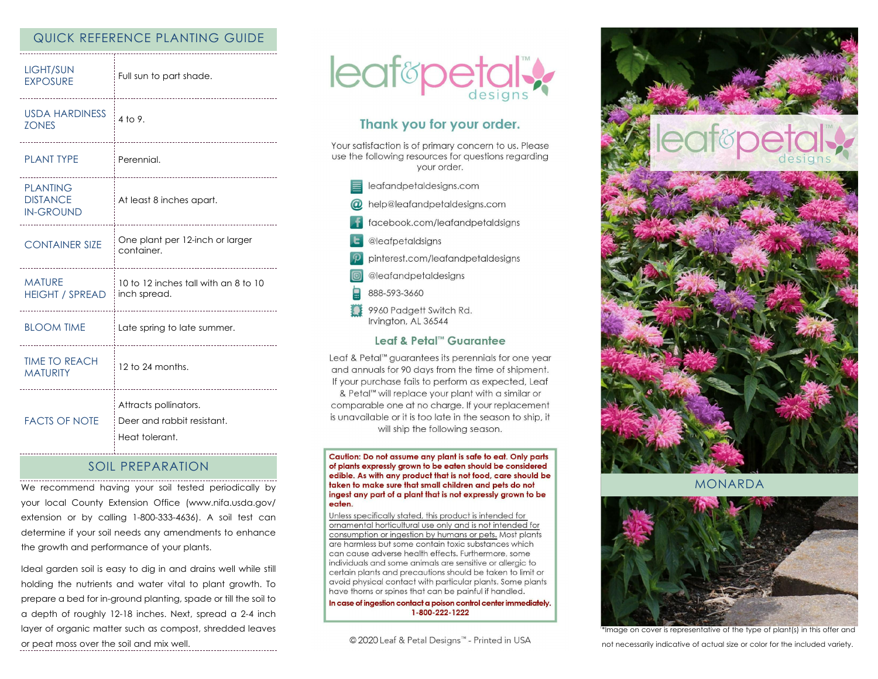### QUICK REFERENCE PLANTING GUIDE

| <b>LIGHT/SUN</b>                                       | Full sun to part shade.                                               |
|--------------------------------------------------------|-----------------------------------------------------------------------|
| <b>EXPOSURE</b>                                        |                                                                       |
| <b>USDA HARDINESS</b>                                  | 4 to 9.                                                               |
| <b>ZONES</b>                                           |                                                                       |
| <b>PLANT TYPE</b>                                      | Perennial.                                                            |
| <b>PLANTING</b><br><b>DISTANCE</b><br><b>IN-GROUND</b> | At least 8 inches apart.                                              |
| <b>CONTAINER SIZE</b>                                  | One plant per 12-inch or larger                                       |
| _________________                                      | container.                                                            |
| <b>MATURE</b>                                          | 10 to 12 inches tall with an 8 to 10                                  |
| <b>HEIGHT / SPREAD</b>                                 | inch spread.                                                          |
| <b>BLOOM TIME</b>                                      | Late spring to late summer.                                           |
| <b>TIME TO REACH</b>                                   | 12 to 24 months.                                                      |
| <b>MATURITY</b>                                        | -----------------                                                     |
| <b>FACTS OF NOTE</b>                                   | Attracts pollinators.<br>Deer and rabbit resistant.<br>Heat tolerant. |

## SOIL PREPARATION

We recommend having your soil tested periodically by your local County Extension Office (www.nifa.usda.gov/ extension or by calling 1-800-333-4636). A soil test can determine if your soil needs any amendments to enhance the growth and performance of your plants.

Ideal garden soil is easy to dig in and drains well while still holding the nutrients and water vital to plant growth. To prepare a bed for in-ground planting, spade or till the soil to a depth of roughly 12-18 inches. Next, spread a 2-4 inch layer of organic matter such as compost, shredded leaves or peat moss over the soil and mix well.



# Thank you for your order.

Your satisfaction is of primary concern to us. Please use the following resources for questions regarding vour order.

| leafandpetaldesigns.com |  |  |  |  |  |
|-------------------------|--|--|--|--|--|
|                         |  |  |  |  |  |

- @ help@leafandpetaldesigns.com
- facebook.com/leafandpetaldsigns
- **L** @leafpetaldsigns
- pinterest.com/leafandpetaldesigns

@leafandpetaldesigns

- 888-593-3660
- 9960 Padgett Switch Rd. Irvington, AL 36544

#### Leaf & Petal™ Guarantee

Leaf & Petal™ guarantees its perennials for one year and annuals for 90 days from the time of shipment. If your purchase fails to perform as expected, Leaf & Petal<sup>™</sup> will replace your plant with a similar or comparable one at no charge. If your replacement is unavailable or it is too late in the season to ship, it will ship the following season.

Caution: Do not assume any plant is safe to eat. Only parts of plants expressly grown to be eaten should be considered edible. As with any product that is not food, care should be taken to make sure that small children and pets do not ingest any part of a plant that is not expressly grown to be eaten.

Unless specifically stated, this product is intended for ornamental horticultural use only and is not intended for consumption or ingestion by humans or pets. Most plants are harmless but some contain toxic substances which can cause adverse health effects. Furthermore, some individuals and some animals are sensitive or allergic to certain plants and precautions should be taken to limit or avoid physical contact with particular plants. Some plants have thorns or spines that can be painful if handled.

In case of ingestion contact a poison control center immediately. 1-800-222-1222

© 2020 Leaf & Petal Designs™ - Printed in USA



MONARDA



\*Image on cover is representative of the type of plant(s) in this offer and not necessarily indicative of actual size or color for the included variety.